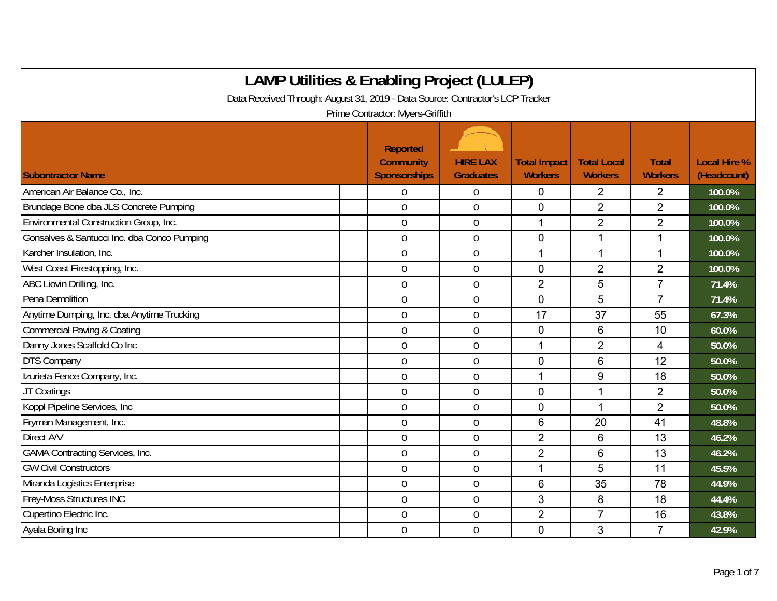| <b>LAMP Utilities &amp; Enabling Project (LULEP)</b>                           |                                                            |                                     |                                       |                                      |                                |                                    |  |  |  |
|--------------------------------------------------------------------------------|------------------------------------------------------------|-------------------------------------|---------------------------------------|--------------------------------------|--------------------------------|------------------------------------|--|--|--|
| Data Received Through: August 31, 2019 - Data Source: Contractor's LCP Tracker |                                                            |                                     |                                       |                                      |                                |                                    |  |  |  |
|                                                                                | Prime Contractor: Myers-Griffith                           |                                     |                                       |                                      |                                |                                    |  |  |  |
| <b>Subontractor Name</b>                                                       | <b>Reported</b><br><b>Community</b><br><b>Sponsorships</b> | <b>HIRE LAX</b><br><b>Graduates</b> | <b>Total Impact</b><br><b>Workers</b> | <b>Total Local</b><br><b>Workers</b> | <b>Total</b><br><b>Workers</b> | <b>Local Hire %</b><br>(Headcount) |  |  |  |
| American Air Balance Co., Inc.                                                 | $\overline{0}$                                             | $\overline{0}$                      | 0                                     | $\overline{2}$                       | 2                              | 100.0%                             |  |  |  |
| Brundage Bone dba JLS Concrete Pumping                                         | $\overline{0}$                                             | $\mathbf 0$                         | 0                                     | $\overline{2}$                       | $\overline{2}$                 | 100.0%                             |  |  |  |
| Environmental Construction Group, Inc.                                         | $\overline{0}$                                             | $\mathbf 0$                         | 1                                     | $\overline{2}$                       | $\overline{2}$                 | 100.0%                             |  |  |  |
| Gonsalves & Santucci Inc. dba Conco Pumping                                    | $\mathbf 0$                                                | $\mathbf 0$                         | 0                                     | 1                                    | $\mathbf{1}$                   | 100.0%                             |  |  |  |
| Karcher Insulation, Inc.                                                       | $\mathbf 0$                                                | $\mathbf 0$                         | 1                                     | $\mathbf{1}$                         | $\mathbf{1}$                   | 100.0%                             |  |  |  |
| West Coast Firestopping, Inc.                                                  | $\boldsymbol{0}$                                           | $\boldsymbol{0}$                    | 0                                     | $\overline{2}$                       | $\overline{2}$                 | 100.0%                             |  |  |  |
| ABC Liovin Drilling, Inc.                                                      | $\mathbf 0$                                                | $\mathbf 0$                         | $\overline{2}$                        | 5                                    | $\overline{7}$                 | 71.4%                              |  |  |  |
| Pena Demolition                                                                | $\mathbf 0$                                                | $\mathbf 0$                         | 0                                     | 5                                    | $\overline{7}$                 | 71.4%                              |  |  |  |
| Anytime Dumping, Inc. dba Anytime Trucking                                     | $\overline{0}$                                             | $\overline{0}$                      | 17                                    | 37                                   | 55                             | 67.3%                              |  |  |  |
| <b>Commercial Paving &amp; Coating</b>                                         | $\overline{0}$                                             | $\overline{0}$                      | 0                                     | 6                                    | 10                             | 60.0%                              |  |  |  |
| Danny Jones Scaffold Co Inc                                                    | $\mathbf 0$                                                | $\mathbf 0$                         |                                       | $\overline{2}$                       | 4                              | 50.0%                              |  |  |  |
| <b>DTS Company</b>                                                             | $\mathbf 0$                                                | $\mathbf 0$                         | 0                                     | 6                                    | 12                             | 50.0%                              |  |  |  |
| Izurieta Fence Company, Inc.                                                   | $\mathbf 0$                                                | $\mathbf 0$                         | 1                                     | 9                                    | 18                             | 50.0%                              |  |  |  |
| JT Coatings                                                                    | $\overline{0}$                                             | $\mathbf 0$                         | 0                                     | 1                                    | $\overline{2}$                 | 50.0%                              |  |  |  |
| Koppl Pipeline Services, Inc                                                   | $\mathbf 0$                                                | $\mathbf 0$                         | 0                                     | 1                                    | $\overline{2}$                 | 50.0%                              |  |  |  |
| Fryman Management, Inc.                                                        | $\mathbf 0$                                                | $\boldsymbol{0}$                    | 6                                     | 20                                   | 41                             | 48.8%                              |  |  |  |
| Direct A/V                                                                     | $\mathbf 0$                                                | $\mathbf 0$                         | $\overline{2}$                        | 6                                    | 13                             | 46.2%                              |  |  |  |
| <b>GAMA Contracting Services, Inc.</b>                                         | $\mathbf 0$                                                | $\mathbf 0$                         | $\overline{2}$                        | 6                                    | 13                             | 46.2%                              |  |  |  |
| <b>GW Civil Constructors</b>                                                   | $\mathbf 0$                                                | $\boldsymbol{0}$                    | 1                                     | 5                                    | 11                             | 45.5%                              |  |  |  |
| Miranda Logistics Enterprise                                                   | $\boldsymbol{0}$                                           | $\boldsymbol{0}$                    | 6                                     | 35                                   | 78                             | 44.9%                              |  |  |  |
| Frey-Moss Structures INC                                                       | $\overline{0}$                                             | $\overline{0}$                      | 3                                     | 8                                    | 18                             | 44.4%                              |  |  |  |
| Cupertino Electric Inc.                                                        | $\overline{0}$                                             | $\mathbf 0$                         | $\overline{2}$                        | $\overline{7}$                       | 16                             | 43.8%                              |  |  |  |
| Ayala Boring Inc                                                               | $\overline{0}$                                             | $\mathbf 0$                         | 0                                     | 3                                    | $\overline{7}$                 | 42.9%                              |  |  |  |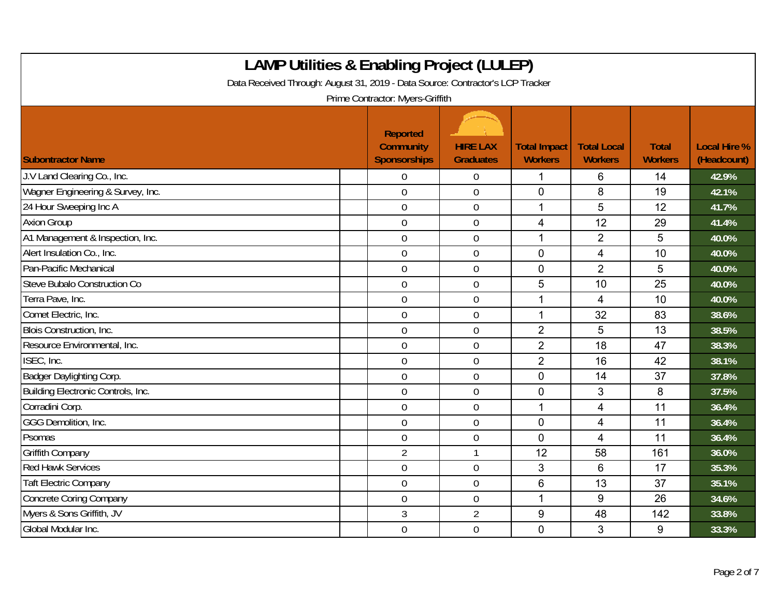| <b>LAMP Utilities &amp; Enabling Project (LULEP)</b><br>Data Received Through: August 31, 2019 - Data Source: Contractor's LCP Tracker |                                                            |                                     |                                       |                                      |                                |                                    |  |  |  |
|----------------------------------------------------------------------------------------------------------------------------------------|------------------------------------------------------------|-------------------------------------|---------------------------------------|--------------------------------------|--------------------------------|------------------------------------|--|--|--|
| Prime Contractor: Myers-Griffith                                                                                                       |                                                            |                                     |                                       |                                      |                                |                                    |  |  |  |
| <b>Subontractor Name</b>                                                                                                               | <b>Reported</b><br><b>Community</b><br><b>Sponsorships</b> | <b>HIRE LAX</b><br><b>Graduates</b> | <b>Total Impact</b><br><b>Workers</b> | <b>Total Local</b><br><b>Workers</b> | <b>Total</b><br><b>Workers</b> | <b>Local Hire %</b><br>(Headcount) |  |  |  |
| J.V Land Clearing Co., Inc.                                                                                                            | $\Omega$                                                   | $\overline{0}$                      | 1                                     | 6                                    | 14                             | 42.9%                              |  |  |  |
| Wagner Engineering & Survey, Inc.                                                                                                      | $\overline{0}$                                             | $\mathbf 0$                         | $\mathbf 0$                           | 8                                    | 19                             | 42.1%                              |  |  |  |
| 24 Hour Sweeping Inc A                                                                                                                 | $\mathbf 0$                                                | $\boldsymbol{0}$                    | 1                                     | 5                                    | 12                             | 41.7%                              |  |  |  |
| <b>Axion Group</b>                                                                                                                     | $\mathbf 0$                                                | $\overline{0}$                      | 4                                     | 12                                   | 29                             | 41.4%                              |  |  |  |
| A1 Management & Inspection, Inc.                                                                                                       | $\overline{0}$                                             | $\overline{0}$                      | $\overline{1}$                        | $\overline{2}$                       | 5                              | 40.0%                              |  |  |  |
| Alert Insulation Co., Inc.                                                                                                             | $\overline{0}$                                             | $\mathbf 0$                         | $\mathbf 0$                           | $\overline{4}$                       | 10                             | 40.0%                              |  |  |  |
| Pan-Pacific Mechanical                                                                                                                 | $\mathbf 0$                                                | $\mathbf 0$                         | $\mathbf 0$                           | $\overline{2}$                       | 5                              | 40.0%                              |  |  |  |
| Steve Bubalo Construction Co                                                                                                           | $\mathbf 0$                                                | $\mathbf 0$                         | 5                                     | 10                                   | 25                             | 40.0%                              |  |  |  |
| Terra Pave, Inc.                                                                                                                       | $\mathbf 0$                                                | $\pmb{0}$                           | 1                                     | 4                                    | 10                             | 40.0%                              |  |  |  |
| Comet Electric, Inc.                                                                                                                   | $\mathbf 0$                                                | $\mathbf 0$                         | $\mathbf{1}$                          | 32                                   | 83                             | 38.6%                              |  |  |  |
| <b>Blois Construction, Inc.</b>                                                                                                        | $\overline{0}$                                             | $\overline{0}$                      | $\overline{2}$                        | 5                                    | 13                             | 38.5%                              |  |  |  |
| Resource Environmental, Inc.                                                                                                           | $\mathbf 0$                                                | $\mathbf 0$                         | $\overline{2}$                        | 18                                   | 47                             | 38.3%                              |  |  |  |
| ISEC, Inc.                                                                                                                             | $\mathbf 0$                                                | $\overline{0}$                      | $\overline{2}$                        | 16                                   | 42                             | 38.1%                              |  |  |  |
| Badger Daylighting Corp.                                                                                                               | $\mathbf 0$                                                | $\boldsymbol{0}$                    | $\mathbf 0$                           | 14                                   | 37                             | 37.8%                              |  |  |  |
| Building Electronic Controls, Inc.                                                                                                     | $\mathbf 0$                                                | $\boldsymbol{0}$                    | $\mathbf 0$                           | 3                                    | 8                              | 37.5%                              |  |  |  |
| Corradini Corp.                                                                                                                        | $\overline{0}$                                             | $\overline{0}$                      | $\mathbf{1}$                          | $\overline{4}$                       | 11                             | 36.4%                              |  |  |  |
| GGG Demolition, Inc.                                                                                                                   | $\overline{0}$                                             | $\boldsymbol{0}$                    | $\mathbf 0$                           | 4                                    | 11                             | 36.4%                              |  |  |  |
| Psomas                                                                                                                                 | $\mathbf 0$                                                | $\boldsymbol{0}$                    | $\overline{0}$                        | 4                                    | 11                             | 36.4%                              |  |  |  |
| <b>Griffith Company</b>                                                                                                                | $\overline{2}$                                             | $\mathbf{1}$                        | 12                                    | 58                                   | 161                            | 36.0%                              |  |  |  |
| <b>Red Hawk Services</b>                                                                                                               | $\mathbf 0$                                                | $\pmb{0}$                           | 3                                     | 6                                    | 17                             | 35.3%                              |  |  |  |
| <b>Taft Electric Company</b>                                                                                                           | $\mathbf 0$                                                | $\boldsymbol{0}$                    | 6                                     | 13                                   | 37                             | 35.1%                              |  |  |  |
| <b>Concrete Coring Company</b>                                                                                                         | $\overline{0}$                                             | $\mathbf 0$                         | $\mathbf 1$                           | 9                                    | 26                             | 34.6%                              |  |  |  |
| Myers & Sons Griffith, JV                                                                                                              | 3                                                          | $\overline{2}$                      | 9                                     | 48                                   | 142                            | 33.8%                              |  |  |  |
| Global Modular Inc.                                                                                                                    | $\mathbf 0$                                                | $\mathbf 0$                         | $\overline{0}$                        | 3                                    | 9                              | 33.3%                              |  |  |  |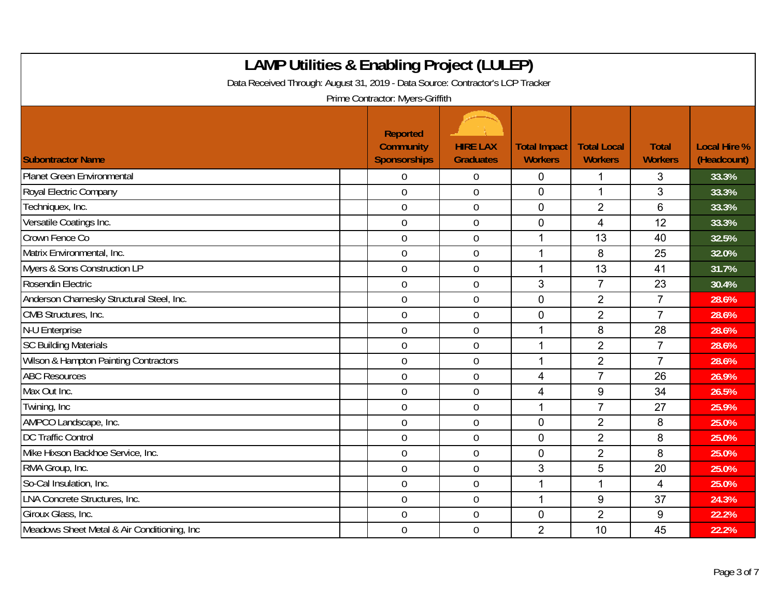| <b>LAMP Utilities &amp; Enabling Project (LULEP)</b><br>Data Received Through: August 31, 2019 - Data Source: Contractor's LCP Tracker<br>Prime Contractor: Myers-Griffith |                                                            |                                     |                                       |                                      |                                |                                    |  |  |
|----------------------------------------------------------------------------------------------------------------------------------------------------------------------------|------------------------------------------------------------|-------------------------------------|---------------------------------------|--------------------------------------|--------------------------------|------------------------------------|--|--|
| <b>Subontractor Name</b>                                                                                                                                                   | <b>Reported</b><br><b>Community</b><br><b>Sponsorships</b> | <b>HIRE LAX</b><br><b>Graduates</b> | <b>Total Impact</b><br><b>Workers</b> | <b>Total Local</b><br><b>Workers</b> | <b>Total</b><br><b>Workers</b> | <b>Local Hire %</b><br>(Headcount) |  |  |
| <b>Planet Green Environmental</b>                                                                                                                                          | 0                                                          | $\overline{0}$                      | $\mathbf 0$                           | 1                                    | 3                              | 33.3%                              |  |  |
| Royal Electric Company                                                                                                                                                     | $\overline{0}$                                             | $\overline{0}$                      | $\overline{0}$                        | $\mathbf{1}$                         | 3                              | 33.3%                              |  |  |
| Techniquex, Inc.                                                                                                                                                           | $\mathbf 0$                                                | $\overline{0}$                      | $\mathbf 0$                           | $\overline{2}$                       | 6                              | 33.3%                              |  |  |
| Versatile Coatings Inc.                                                                                                                                                    | $\mathbf 0$                                                | $\overline{0}$                      | $\mathbf 0$                           | $\overline{4}$                       | 12                             | 33.3%                              |  |  |
| Crown Fence Co                                                                                                                                                             | 0                                                          | $\overline{0}$                      | 1                                     | 13                                   | 40                             | 32.5%                              |  |  |
| Matrix Environmental, Inc.                                                                                                                                                 | $\overline{0}$                                             | $\boldsymbol{0}$                    | $\overline{\phantom{a}}$              | 8                                    | 25                             | 32.0%                              |  |  |
| Myers & Sons Construction LP                                                                                                                                               | $\mathbf 0$                                                | $\overline{0}$                      | 1                                     | 13                                   | 41                             | 31.7%                              |  |  |
| Rosendin Electric                                                                                                                                                          | $\overline{0}$                                             | $\overline{0}$                      | 3                                     | $\overline{7}$                       | 23                             | 30.4%                              |  |  |
| Anderson Charnesky Structural Steel, Inc.                                                                                                                                  | $\mathbf 0$                                                | $\overline{0}$                      | $\mathbf 0$                           | $\overline{2}$                       | $\overline{7}$                 | 28.6%                              |  |  |
| CMB Structures, Inc.                                                                                                                                                       | $\mathbf 0$                                                | $\overline{0}$                      | $\mathbf 0$                           | $\overline{2}$                       | $\overline{7}$                 | 28.6%                              |  |  |
| N-U Enterprise                                                                                                                                                             | 0                                                          | $\mathbf 0$                         | 1                                     | 8                                    | 28                             | 28.6%                              |  |  |
| <b>SC Building Materials</b>                                                                                                                                               | 0                                                          | $\overline{0}$                      | 1                                     | $\overline{2}$                       | $\overline{7}$                 | 28.6%                              |  |  |
| Wilson & Hampton Painting Contractors                                                                                                                                      | $\overline{0}$                                             | $\overline{0}$                      | 1                                     | $\overline{2}$                       | $\overline{7}$                 | 28.6%                              |  |  |
| <b>ABC Resources</b>                                                                                                                                                       | $\overline{0}$                                             | $\mathbf 0$                         | $\overline{4}$                        | $\overline{7}$                       | 26                             | 26.9%                              |  |  |
| Max Out Inc.                                                                                                                                                               | 0                                                          | $\overline{0}$                      | $\overline{4}$                        | 9                                    | 34                             | 26.5%                              |  |  |
| Twining, Inc                                                                                                                                                               | $\mathbf 0$                                                | $\overline{0}$                      | 1                                     | $\overline{7}$                       | 27                             | 25.9%                              |  |  |
| AMPCO Landscape, Inc.                                                                                                                                                      | 0                                                          | $\mathbf 0$                         | $\overline{0}$                        | $\overline{2}$                       | 8                              | 25.0%                              |  |  |
| <b>DC Traffic Control</b>                                                                                                                                                  | 0                                                          | $\overline{0}$                      | $\mathbf 0$                           | $\overline{2}$                       | 8                              | 25.0%                              |  |  |
| Mike Hixson Backhoe Service, Inc.                                                                                                                                          | $\overline{0}$                                             | $\overline{0}$                      | $\mathbf 0$                           | $\overline{2}$                       | 8                              | 25.0%                              |  |  |
| RMA Group, Inc.                                                                                                                                                            | $\overline{0}$                                             | $\boldsymbol{0}$                    | 3                                     | 5                                    | 20                             | 25.0%                              |  |  |
| So-Cal Insulation, Inc.                                                                                                                                                    | 0                                                          | $\boldsymbol{0}$                    | 1                                     | 1                                    | 4                              | 25.0%                              |  |  |
| <b>LNA Concrete Structures, Inc.</b>                                                                                                                                       | $\mathbf 0$                                                | $\overline{0}$                      | $\overline{1}$                        | 9                                    | 37                             | 24.3%                              |  |  |
| Giroux Glass, Inc.                                                                                                                                                         | $\overline{0}$                                             | $\mathbf 0$                         | $\mathbf 0$                           | $\overline{2}$                       | 9                              | 22.2%                              |  |  |
| Meadows Sheet Metal & Air Conditioning, Inc.                                                                                                                               | 0                                                          | $\overline{0}$                      | $\overline{2}$                        | 10                                   | 45                             | 22.2%                              |  |  |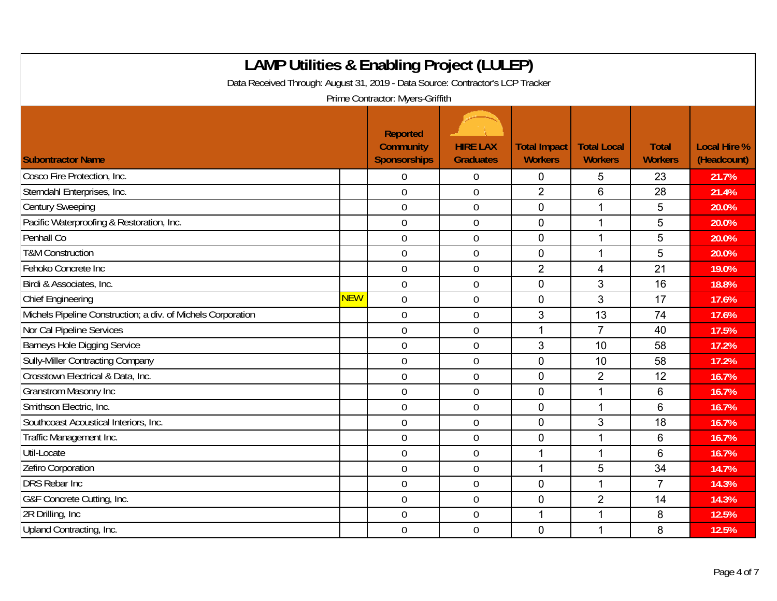| <b>LAMP Utilities &amp; Enabling Project (LULEP)</b><br>Data Received Through: August 31, 2019 - Data Source: Contractor's LCP Tracker<br>Prime Contractor: Myers-Griffith |            |                                                            |                                     |                                       |                                      |                                |                                    |  |
|----------------------------------------------------------------------------------------------------------------------------------------------------------------------------|------------|------------------------------------------------------------|-------------------------------------|---------------------------------------|--------------------------------------|--------------------------------|------------------------------------|--|
| <b>Subontractor Name</b>                                                                                                                                                   |            | <b>Reported</b><br><b>Community</b><br><b>Sponsorships</b> | <b>HIRE LAX</b><br><b>Graduates</b> | <b>Total Impact</b><br><b>Workers</b> | <b>Total Local</b><br><b>Workers</b> | <b>Total</b><br><b>Workers</b> | <b>Local Hire %</b><br>(Headcount) |  |
| Cosco Fire Protection, Inc.                                                                                                                                                |            | 0                                                          | $\boldsymbol{0}$                    | 0                                     | 5                                    | 23                             | 21.7%                              |  |
| Sterndahl Enterprises, Inc.                                                                                                                                                |            | $\overline{0}$                                             | $\overline{0}$                      | $\overline{2}$                        | 6                                    | 28                             | 21.4%                              |  |
| <b>Century Sweeping</b>                                                                                                                                                    |            | $\mathbf 0$                                                | $\boldsymbol{0}$                    | $\mathbf 0$                           | 1                                    | 5                              | 20.0%                              |  |
| Pacific Waterproofing & Restoration, Inc.                                                                                                                                  |            | $\mathbf 0$                                                | $\mathbf 0$                         | 0                                     | 1                                    | 5                              | 20.0%                              |  |
| Penhall Co                                                                                                                                                                 |            | $\overline{0}$                                             | $\overline{0}$                      | $\overline{0}$                        | $\mathbf{1}$                         | 5                              | 20.0%                              |  |
| <b>T&amp;M Construction</b>                                                                                                                                                |            | $\overline{0}$                                             | $\boldsymbol{0}$                    | $\mathbf 0$                           | 1                                    | 5                              | 20.0%                              |  |
| Fehoko Concrete Inc                                                                                                                                                        |            | $\overline{0}$                                             | $\mathbf 0$                         | $\overline{2}$                        | 4                                    | 21                             | 19.0%                              |  |
| Birdi & Associates, Inc.                                                                                                                                                   |            | $\mathbf 0$                                                | $\mathbf 0$                         | $\mathbf 0$                           | 3                                    | 16                             | 18.8%                              |  |
| <b>Chief Engineering</b>                                                                                                                                                   | <b>NEW</b> | $\mathbf 0$                                                | $\boldsymbol{0}$                    | $\mathbf 0$                           | 3                                    | 17                             | 17.6%                              |  |
| Michels Pipeline Construction; a div. of Michels Corporation                                                                                                               |            | $\mathbf 0$                                                | $\mathbf 0$                         | 3                                     | 13                                   | 74                             | 17.6%                              |  |
| Nor Cal Pipeline Services                                                                                                                                                  |            | $\mathbf 0$                                                | $\mathbf 0$                         | 1                                     | $\overline{7}$                       | 40                             | 17.5%                              |  |
| <b>Barneys Hole Digging Service</b>                                                                                                                                        |            | $\mathbf 0$                                                | $\mathbf 0$                         | 3                                     | 10                                   | 58                             | 17.2%                              |  |
| <b>Sully-Miller Contracting Company</b>                                                                                                                                    |            | $\overline{0}$                                             | $\mathbf 0$                         | $\overline{0}$                        | 10                                   | 58                             | 17.2%                              |  |
| Crosstown Electrical & Data, Inc.                                                                                                                                          |            | $\mathbf 0$                                                | $\mathbf 0$                         | $\mathbf 0$                           | $\overline{2}$                       | 12                             | 16.7%                              |  |
| <b>Granstrom Masonry Inc</b>                                                                                                                                               |            | $\mathbf 0$                                                | $\boldsymbol{0}$                    | $\mathbf 0$                           | $\mathbf{1}$                         | 6                              | 16.7%                              |  |
| Smithson Electric, Inc.                                                                                                                                                    |            | $\overline{0}$                                             | $\boldsymbol{0}$                    | 0                                     | $\mathbf{1}$                         | 6                              | 16.7%                              |  |
| Southcoast Acoustical Interiors, Inc.                                                                                                                                      |            | $\overline{0}$                                             | $\mathbf 0$                         | $\mathbf 0$                           | 3                                    | 18                             | 16.7%                              |  |
| Traffic Management Inc.                                                                                                                                                    |            | $\mathbf 0$                                                | $\mathbf 0$                         | $\mathbf 0$                           | 1                                    | 6                              | 16.7%                              |  |
| Util-Locate                                                                                                                                                                |            | $\overline{0}$                                             | $\overline{0}$                      | 1                                     | 1                                    | 6                              | 16.7%                              |  |
| Zefiro Corporation                                                                                                                                                         |            | $\mathbf 0$                                                | $\mathbf 0$                         | 1                                     | 5                                    | 34                             | 14.7%                              |  |
| <b>DRS Rebar Inc</b>                                                                                                                                                       |            | $\mathbf 0$                                                | $\mathbf 0$                         | $\mathbf 0$                           | $\mathbf{1}$                         | $\overline{7}$                 | 14.3%                              |  |
| G&F Concrete Cutting, Inc.                                                                                                                                                 |            | $\mathbf 0$                                                | $\mathbf 0$                         | $\mathbf 0$                           | $\overline{2}$                       | 14                             | 14.3%                              |  |
| 2R Drilling, Inc                                                                                                                                                           |            | $\mathbf 0$                                                | $\mathbf 0$                         | 1                                     | 1                                    | 8                              | 12.5%                              |  |
| Upland Contracting, Inc.                                                                                                                                                   |            | $\overline{0}$                                             | $\mathbf 0$                         | $\mathbf 0$                           | $\mathbf{1}$                         | 8                              | 12.5%                              |  |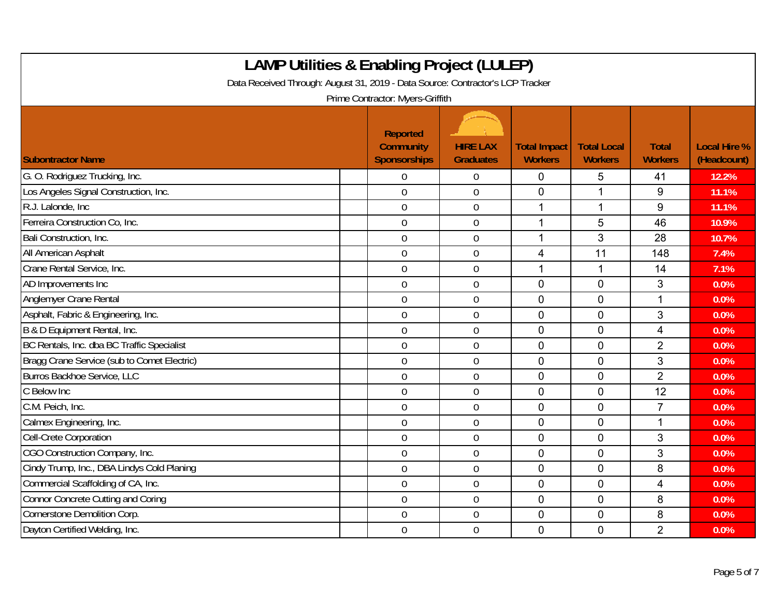| <b>LAMP Utilities &amp; Enabling Project (LULEP)</b><br>Data Received Through: August 31, 2019 - Data Source: Contractor's LCP Tracker<br>Prime Contractor: Myers-Griffith |                                                     |                                     |                                       |                                      |                                |                                    |  |  |
|----------------------------------------------------------------------------------------------------------------------------------------------------------------------------|-----------------------------------------------------|-------------------------------------|---------------------------------------|--------------------------------------|--------------------------------|------------------------------------|--|--|
| <b>Subontractor Name</b>                                                                                                                                                   | <b>Reported</b><br><b>Community</b><br>Sponsorships | <b>HIRE LAX</b><br><b>Graduates</b> | <b>Total Impact</b><br><b>Workers</b> | <b>Total Local</b><br><b>Workers</b> | <b>Total</b><br><b>Workers</b> | <b>Local Hire %</b><br>(Headcount) |  |  |
| G. O. Rodriguez Trucking, Inc.                                                                                                                                             | $\Omega$                                            | $\overline{0}$                      | 0                                     | 5                                    | 41                             | 12.2%                              |  |  |
| Los Angeles Signal Construction, Inc.                                                                                                                                      | $\mathbf 0$                                         | $\mathbf 0$                         | 0                                     | 1                                    | 9                              | 11.1%                              |  |  |
| R.J. Lalonde, Inc.                                                                                                                                                         | $\overline{0}$                                      | $\boldsymbol{0}$                    | 1                                     | 1                                    | 9                              | 11.1%                              |  |  |
| Ferreira Construction Co, Inc.                                                                                                                                             | $\overline{0}$                                      | $\overline{0}$                      | 1                                     | 5                                    | 46                             | 10.9%                              |  |  |
| Bali Construction, Inc.                                                                                                                                                    | $\overline{0}$                                      | $\overline{0}$                      | $\mathbf 1$                           | 3                                    | 28                             | 10.7%                              |  |  |
| All American Asphalt                                                                                                                                                       | $\mathbf 0$                                         | $\mathbf 0$                         | $\overline{4}$                        | 11                                   | 148                            | 7.4%                               |  |  |
| Crane Rental Service, Inc.                                                                                                                                                 | $\overline{0}$                                      | $\mathbf 0$                         | $\mathbf 1$                           | 1                                    | 14                             | 7.1%                               |  |  |
| AD Improvements Inc                                                                                                                                                        | $\overline{0}$                                      | $\overline{0}$                      | $\overline{0}$                        | $\Omega$                             | 3                              | 0.0%                               |  |  |
| Anglemyer Crane Rental                                                                                                                                                     | $\mathbf 0$                                         | $\boldsymbol{0}$                    | 0                                     | $\mathbf 0$                          | 1                              | 0.0%                               |  |  |
| Asphalt, Fabric & Engineering, Inc.                                                                                                                                        | $\overline{0}$                                      | $\overline{0}$                      | $\mathbf 0$                           | $\mathbf 0$                          | 3                              | 0.0%                               |  |  |
| B & D Equipment Rental, Inc.                                                                                                                                               | $\overline{0}$                                      | $\overline{0}$                      | $\overline{0}$                        | $\Omega$                             | $\overline{4}$                 | 0.0%                               |  |  |
| BC Rentals, Inc. dba BC Traffic Specialist                                                                                                                                 | $\mathbf 0$                                         | $\boldsymbol{0}$                    | 0                                     | 0                                    | $\overline{2}$                 | 0.0%                               |  |  |
| Bragg Crane Service (sub to Comet Electric)                                                                                                                                | $\overline{0}$                                      | $\overline{0}$                      | $\mathbf 0$                           | $\mathbf 0$                          | 3                              | 0.0%                               |  |  |
| Burros Backhoe Service, LLC                                                                                                                                                | $\overline{0}$                                      | $\overline{0}$                      | 0                                     | $\overline{0}$                       | $\overline{2}$                 | 0.0%                               |  |  |
| C Below Inc                                                                                                                                                                | $\boldsymbol{0}$                                    | $\boldsymbol{0}$                    | 0                                     | $\mathbf 0$                          | 12                             | 0.0%                               |  |  |
| C.M. Peich, Inc.                                                                                                                                                           | $\overline{0}$                                      | $\mathbf 0$                         | $\mathbf 0$                           | $\mathbf 0$                          | $\overline{7}$                 | 0.0%                               |  |  |
| Calmex Engineering, Inc.                                                                                                                                                   | $\overline{0}$                                      | $\overline{0}$                      | 0                                     | $\mathbf 0$                          | 1                              | 0.0%                               |  |  |
| Cell-Crete Corporation                                                                                                                                                     | $\overline{0}$                                      | $\boldsymbol{0}$                    | 0                                     | $\mathbf 0$                          | 3                              | 0.0%                               |  |  |
| CGO Construction Company, Inc.                                                                                                                                             | $\mathbf 0$                                         | $\mathbf 0$                         | $\mathbf 0$                           | $\mathbf 0$                          | 3                              | 0.0%                               |  |  |
| Cindy Trump, Inc., DBA Lindys Cold Planing                                                                                                                                 | $\overline{0}$                                      | $\mathbf 0$                         | 0                                     | $\mathbf 0$                          | 8                              | 0.0%                               |  |  |
| Commercial Scaffolding of CA, Inc.                                                                                                                                         | $\mathbf 0$                                         | $\overline{0}$                      | 0                                     | $\mathbf 0$                          | $\overline{4}$                 | 0.0%                               |  |  |
| <b>Connor Concrete Cutting and Coring</b>                                                                                                                                  | $\mathbf 0$                                         | $\overline{0}$                      | $\mathbf 0$                           | $\mathbf 0$                          | 8                              | 0.0%                               |  |  |
| Cornerstone Demolition Corp.                                                                                                                                               | $\mathbf 0$                                         | $\mathbf 0$                         | 0                                     | $\overline{0}$                       | 8                              | 0.0%                               |  |  |
| Dayton Certified Welding, Inc.                                                                                                                                             | $\overline{0}$                                      | $\mathbf 0$                         | 0                                     | $\mathbf 0$                          | $\overline{2}$                 | 0.0%                               |  |  |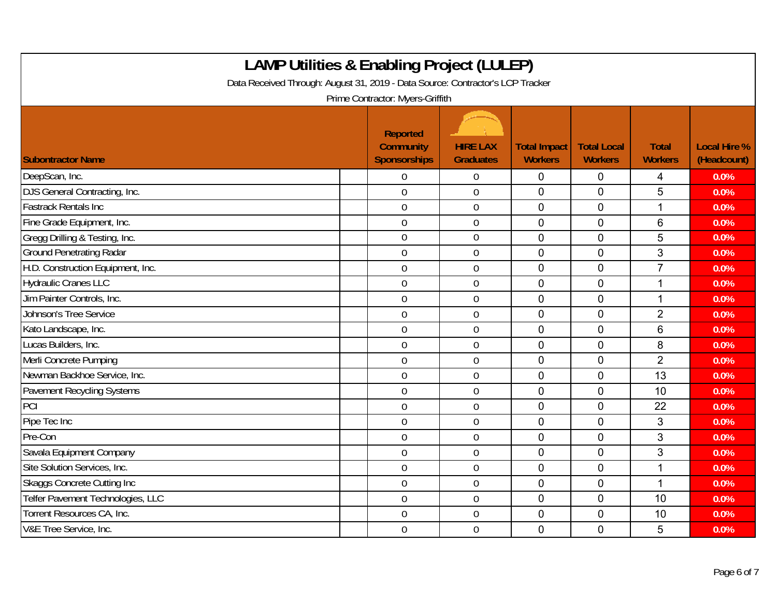| <b>LAMP Utilities &amp; Enabling Project (LULEP)</b><br>Data Received Through: August 31, 2019 - Data Source: Contractor's LCP Tracker |                                                     |                                     |                                       |                                      |                                |                                    |  |  |  |
|----------------------------------------------------------------------------------------------------------------------------------------|-----------------------------------------------------|-------------------------------------|---------------------------------------|--------------------------------------|--------------------------------|------------------------------------|--|--|--|
| Prime Contractor: Myers-Griffith                                                                                                       |                                                     |                                     |                                       |                                      |                                |                                    |  |  |  |
| <b>Subontractor Name</b>                                                                                                               | Reported<br><b>Community</b><br><b>Sponsorships</b> | <b>HIRE LAX</b><br><b>Graduates</b> | <b>Total Impact</b><br><b>Workers</b> | <b>Total Local</b><br><b>Workers</b> | <b>Total</b><br><b>Workers</b> | <b>Local Hire %</b><br>(Headcount) |  |  |  |
| DeepScan, Inc.                                                                                                                         | $\overline{0}$                                      | 0                                   | $\mathbf 0$                           | $\mathbf 0$                          | 4                              | 0.0%                               |  |  |  |
| DJS General Contracting, Inc.                                                                                                          | $\overline{0}$                                      | $\overline{0}$                      | 0                                     | $\Omega$                             | 5                              | 0.0%                               |  |  |  |
| <b>Fastrack Rentals Inc.</b>                                                                                                           | $\mathbf 0$                                         | $\boldsymbol{0}$                    | 0                                     | $\mathbf 0$                          | $\mathbf{1}$                   | 0.0%                               |  |  |  |
| Fine Grade Equipment, Inc.                                                                                                             | $\boldsymbol{0}$                                    | $\boldsymbol{0}$                    | $\mathbf 0$                           | $\mathbf 0$                          | $6\phantom{1}$                 | 0.0%                               |  |  |  |
| Gregg Drilling & Testing, Inc.                                                                                                         | $\mathbf 0$                                         | $\mathbf 0$                         | 0                                     | $\overline{0}$                       | 5                              | 0.0%                               |  |  |  |
| <b>Ground Penetrating Radar</b>                                                                                                        | $\mathbf 0$                                         | $\boldsymbol{0}$                    | $\overline{0}$                        | $\overline{0}$                       | 3                              | 0.0%                               |  |  |  |
| H.D. Construction Equipment, Inc.                                                                                                      | $\mathbf 0$                                         | $\mathbf 0$                         | $\overline{0}$                        | $\overline{0}$                       | $\overline{7}$                 | 0.0%                               |  |  |  |
| <b>Hydraulic Cranes LLC</b>                                                                                                            | $\mathbf 0$                                         | $\mathbf 0$                         | $\overline{0}$                        | $\overline{0}$                       | 1                              | 0.0%                               |  |  |  |
| Jim Painter Controls, Inc.                                                                                                             | $\mathbf 0$                                         | $\mathbf 0$                         | 0                                     | $\overline{0}$                       | $\mathbf{1}$                   | 0.0%                               |  |  |  |
| Johnson's Tree Service                                                                                                                 | $\boldsymbol{0}$                                    | $\boldsymbol{0}$                    | $\mathbf 0$                           | $\mathbf 0$                          | $\overline{2}$                 | 0.0%                               |  |  |  |
| Kato Landscape, Inc.                                                                                                                   | $\mathbf 0$                                         | $\mathbf 0$                         | 0                                     | $\overline{0}$                       | 6                              | 0.0%                               |  |  |  |
| Lucas Builders, Inc.                                                                                                                   | $\mathbf 0$                                         | $\mathbf 0$                         | 0                                     | $\mathbf 0$                          | 8                              | 0.0%                               |  |  |  |
| Merli Concrete Pumping                                                                                                                 | $\overline{0}$                                      | $\mathbf 0$                         | 0                                     | $\mathbf 0$                          | $\overline{2}$                 | 0.0%                               |  |  |  |
| Newman Backhoe Service, Inc.                                                                                                           | $\overline{0}$                                      | $\mathbf 0$                         | 0                                     | $\mathbf 0$                          | 13                             | 0.0%                               |  |  |  |
| Pavement Recycling Systems                                                                                                             | $\overline{0}$                                      | $\mathbf 0$                         | $\overline{0}$                        | $\overline{0}$                       | 10                             | 0.0%                               |  |  |  |
| PCI                                                                                                                                    | $\overline{0}$                                      | $\boldsymbol{0}$                    | 0                                     | $\mathbf 0$                          | 22                             | 0.0%                               |  |  |  |
| Pipe Tec Inc                                                                                                                           | $\mathbf 0$                                         | $\mathbf 0$                         | 0                                     | $\overline{0}$                       | 3                              | 0.0%                               |  |  |  |
| Pre-Con                                                                                                                                | $\overline{0}$                                      | $\mathbf 0$                         | 0                                     | $\overline{0}$                       | 3                              | 0.0%                               |  |  |  |
| Savala Equipment Company                                                                                                               | $\mathbf 0$                                         | $\mathbf 0$                         | 0                                     | $\overline{0}$                       | 3                              | 0.0%                               |  |  |  |
| Site Solution Services, Inc.                                                                                                           | $\mathbf 0$                                         | $\boldsymbol{0}$                    | $\mathbf 0$                           | $\overline{0}$                       | 1                              | 0.0%                               |  |  |  |
| Skaggs Concrete Cutting Inc                                                                                                            | $\overline{0}$                                      | $\mathbf 0$                         | 0                                     | $\overline{0}$                       | $\mathbf{1}$                   | 0.0%                               |  |  |  |
| Telfer Pavement Technologies, LLC                                                                                                      | $\overline{0}$                                      | $\mathbf 0$                         | 0                                     | $\overline{0}$                       | 10                             | 0.0%                               |  |  |  |
| Torrent Resources CA, Inc.                                                                                                             | $\boldsymbol{0}$                                    | $\boldsymbol{0}$                    | 0                                     | $\mathbf 0$                          | 10                             | 0.0%                               |  |  |  |
| V&E Tree Service, Inc.                                                                                                                 | $\overline{0}$                                      | $\mathbf 0$                         | 0                                     | $\mathbf 0$                          | 5                              | 0.0%                               |  |  |  |